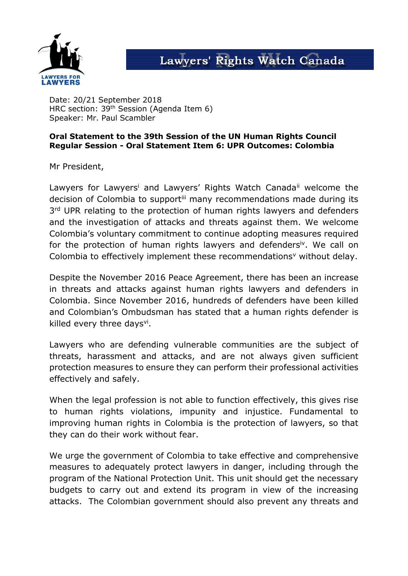

## Lawyers' Rights Watch Canada

Date: 20/21 September 2018 HRC section: 39th Session (Agenda Item 6) Speaker: Mr. Paul Scambler

## **Oral Statement to the 39th Session of the UN Human Rights Council Regular Session - Oral Statement Item 6: UPR Outcomes: Colombia**

Mr President,

Lawyers for Lawyers<sup>i</sup> and Lawyers' Rights Watch Canada<sup>ii</sup> welcome the decision of Colombia to supportilli many recommendations made during its 3<sup>rd</sup> UPR relating to the protection of human rights lawyers and defenders and the investigation of attacks and threats against them. We welcome Colombia's voluntary commitment to continue adopting measures required for the protection of human rights lawyers and defenders<sup>iv</sup>. We call on Colombia to effectively implement these recommendations<sup>v</sup> without delay.

Despite the November 2016 Peace Agreement, there has been an increase in threats and attacks against human rights lawyers and defenders in Colombia. Since November 2016, hundreds of defenders have been killed and Colombian's Ombudsman has stated that a human rights defender is killed every three days<sup>vi</sup>.

Lawyers who are defending vulnerable communities are the subject of threats, harassment and attacks, and are not always given sufficient protection measures to ensure they can perform their professional activities effectively and safely.

When the legal profession is not able to function effectively, this gives rise to human rights violations, impunity and injustice. Fundamental to improving human rights in Colombia is the protection of lawyers, so that they can do their work without fear.

We urge the government of Colombia to take effective and comprehensive measures to adequately protect lawyers in danger, including through the program of the National Protection Unit. This unit should get the necessary budgets to carry out and extend its program in view of the increasing attacks. The Colombian government should also prevent any threats and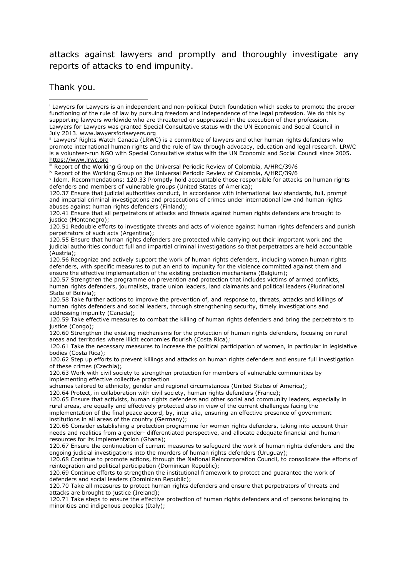## attacks against lawyers and promptly and thoroughly investigate any reports of attacks to end impunity.

Thank you.

120.56 Recognize and actively support the work of human rights defenders, including women human rights defenders, with specific measures to put an end to impunity for the violence committed against them and ensure the effective implementation of the existing protection mechanisms (Belgium);

120.57 Strengthen the programme on prevention and protection that includes victims of armed conflicts, human rights defenders, journalists, trade union leaders, land claimants and political leaders (Plurinational State of Bolivia);

120.58 Take further actions to improve the prevention of, and response to, threats, attacks and killings of human rights defenders and social leaders, through strengthening security, timely investigations and addressing impunity (Canada);

120.59 Take effective measures to combat the killing of human rights defenders and bring the perpetrators to justice (Congo);

120.60 Strengthen the existing mechanisms for the protection of human rights defenders, focusing on rural areas and territories where illicit economies flourish (Costa Rica);

120.61 Take the necessary measures to increase the political participation of women, in particular in legislative bodies (Costa Rica);

120.62 Step up efforts to prevent killings and attacks on human rights defenders and ensure full investigation of these crimes (Czechia);

120.63 Work with civil society to strengthen protection for members of vulnerable communities by implementing effective collective protection

schemes tailored to ethnicity, gender and regional circumstances (United States of America); 120.64 Protect, in collaboration with civil society, human rights defenders (France);

120.65 Ensure that activists, human rights defenders and other social and community leaders, especially in rural areas, are equally and effectively protected also in view of the current challenges facing the implementation of the final peace accord, by, inter alia, ensuring an effective presence of government

institutions in all areas of the country (Germany); 120.66 Consider establishing a protection programme for women rights defenders, taking into account their needs and realities from a gender- differentiated perspective, and allocate adequate financial and human resources for its implementation (Ghana);

120.67 Ensure the continuation of current measures to safeguard the work of human rights defenders and the ongoing judicial investigations into the murders of human rights defenders (Uruguay);

120.68 Continue to promote actions, through the National Reincorporation Council, to consolidate the efforts of reintegration and political participation (Dominican Republic);

120.69 Continue efforts to strengthen the institutional framework to protect and guarantee the work of defenders and social leaders (Dominican Republic);

120.70 Take all measures to protect human rights defenders and ensure that perpetrators of threats and attacks are brought to justice (Ireland);

120.71 Take steps to ensure the effective protection of human rights defenders and of persons belonging to minorities and indigenous peoples (Italy);

<sup>i</sup> Lawyers for Lawyers is an independent and non-political Dutch foundation which seeks to promote the proper functioning of the rule of law by pursuing freedom and independence of the legal profession. We do this by supporting lawyers worldwide who are threatened or suppressed in the execution of their profession. Lawyers for Lawyers was granted Special Consultative status with the UN Economic and Social Council in July 2013. [www.lawyersforlawyers.org](http://www.lawyersforlawyers.org/) -

ii Lawyers' Rights Watch Canada (LRWC) is a committee of lawyers and other human rights defenders who promote international human rights and the rule of law through advocacy, education and legal research. LRWC is a volunteer-run NGO with Special Consultative status with the UN Economic and Social Council since 2005. [https://www.lrwc.org](https://www.lrwc.org/)

iii Report of the Working Group on the Universal Periodic Review of Colombia, A/HRC/39/6

iv Report of the Working Group on the Universal Periodic Review of Colombia, A/HRC/39/6

v Idem. Recommendations: 120.33 Promptly hold accountable those responsible for attacks on human rights defenders and members of vulnerable groups (United States of America);

<sup>120.37</sup> Ensure that judicial authorities conduct, in accordance with international law standards, full, prompt and impartial criminal investigations and prosecutions of crimes under international law and human rights abuses against human rights defenders (Finland);

<sup>120.41</sup> Ensure that all perpetrators of attacks and threats against human rights defenders are brought to justice (Montenegro);

<sup>120.51</sup> Redouble efforts to investigate threats and acts of violence against human rights defenders and punish perpetrators of such acts (Argentina);

<sup>120.55</sup> Ensure that human rights defenders are protected while carrying out their important work and the judicial authorities conduct full and impartial criminal investigations so that perpetrators are held accountable (Austria);